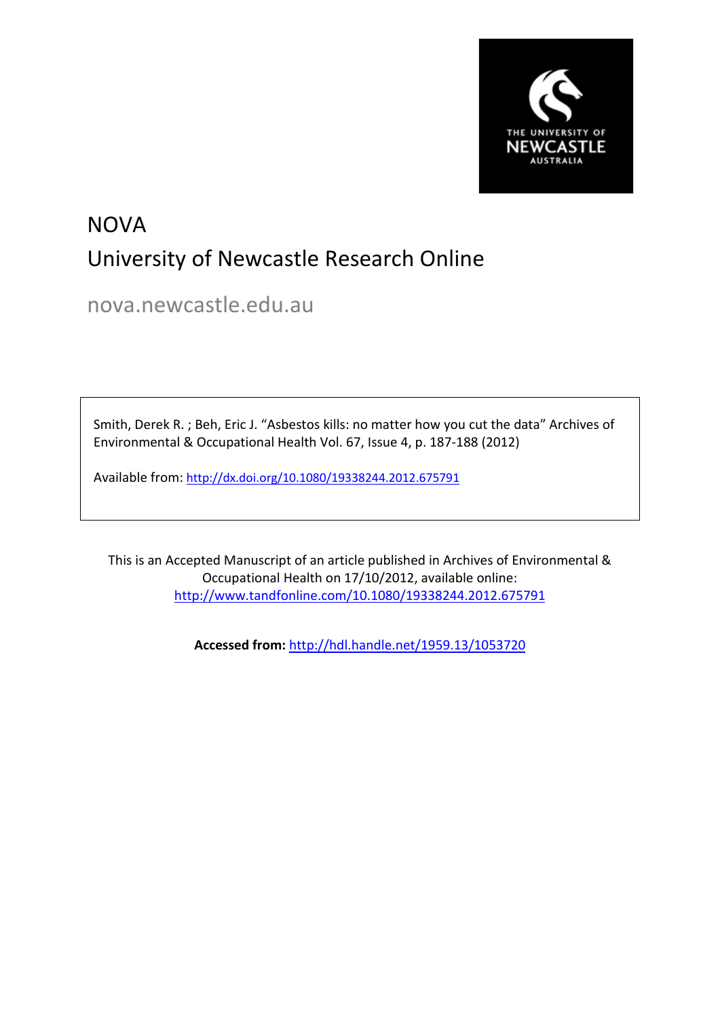

## **NOVA** University of Newcastle Research Online

nova.newcastle.edu.au

Smith, Derek R. ; Beh, Eric J. "Asbestos kills: no matter how you cut the data" Archives of Environmental & Occupational Health Vol. 67, Issue 4, p. 187-188 (2012)

Available from: <http://dx.doi.org/10.1080/19338244.2012.675791>

This is an Accepted Manuscript of an article published in Archives of Environmental & Occupational Health on 17/10/2012, available online: <http://www.tandfonline.com/10.1080/19338244.2012.675791>

**Accessed from:** <http://hdl.handle.net/1959.13/1053720>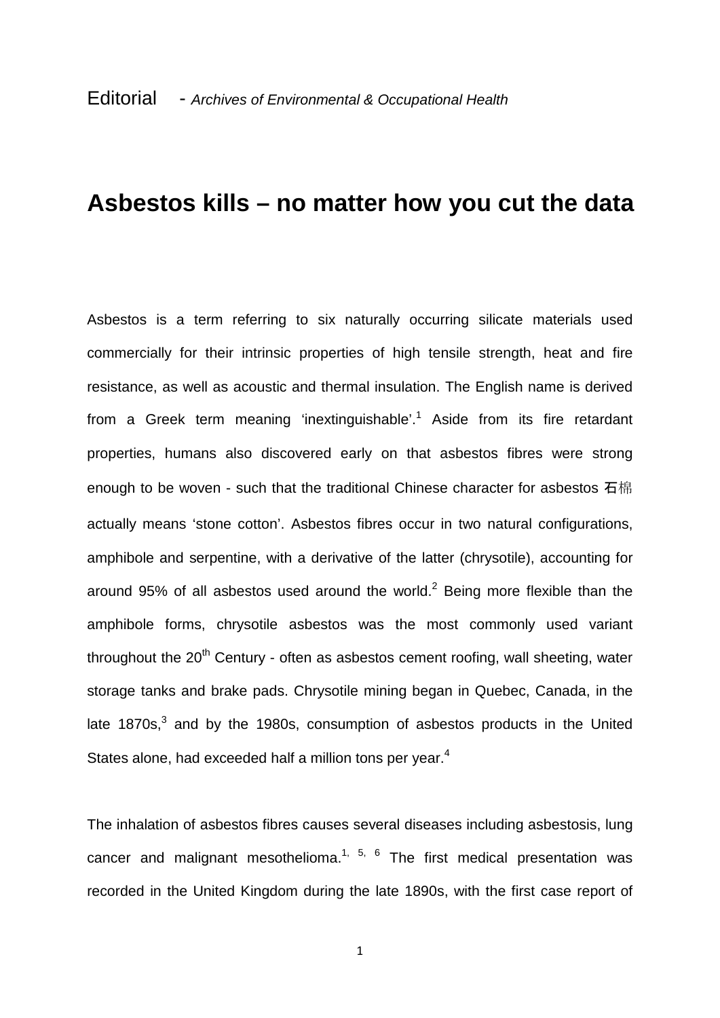## **Asbestos kills – no matter how you cut the data**

Asbestos is a term referring to six naturally occurring silicate materials used commercially for their intrinsic properties of high tensile strength, heat and fire resistance, as well as acoustic and thermal insulation. The English name is derived from a Greek term meaning 'inextinguishable'. <sup>1</sup> Aside from its fire retardant properties, humans also discovered early on that asbestos fibres were strong enough to be woven - such that the traditional Chinese character for asbestos 石棉 actually means 'stone cotton'. Asbestos fibres occur in two natural configurations, amphibole and serpentine, with a derivative of the latter (chrysotile), accounting for around 95% of all asbestos used around the world. $2$  Being more flexible than the amphibole forms, chrysotile asbestos was the most commonly used variant throughout the  $20<sup>th</sup>$  Century - often as asbestos cement roofing, wall sheeting, water storage tanks and brake pads. Chrysotile mining began in Quebec, Canada, in the late  $1870s$ , $3$  and by the 1980s, consumption of asbestos products in the United States alone, had exceeded half a million tons per vear.<sup>4</sup>

The inhalation of asbestos fibres causes several diseases including asbestosis, lung cancer and malignant mesothelioma.<sup>1, 5, 6</sup> The first medical presentation was recorded in the United Kingdom during the late 1890s, with the first case report of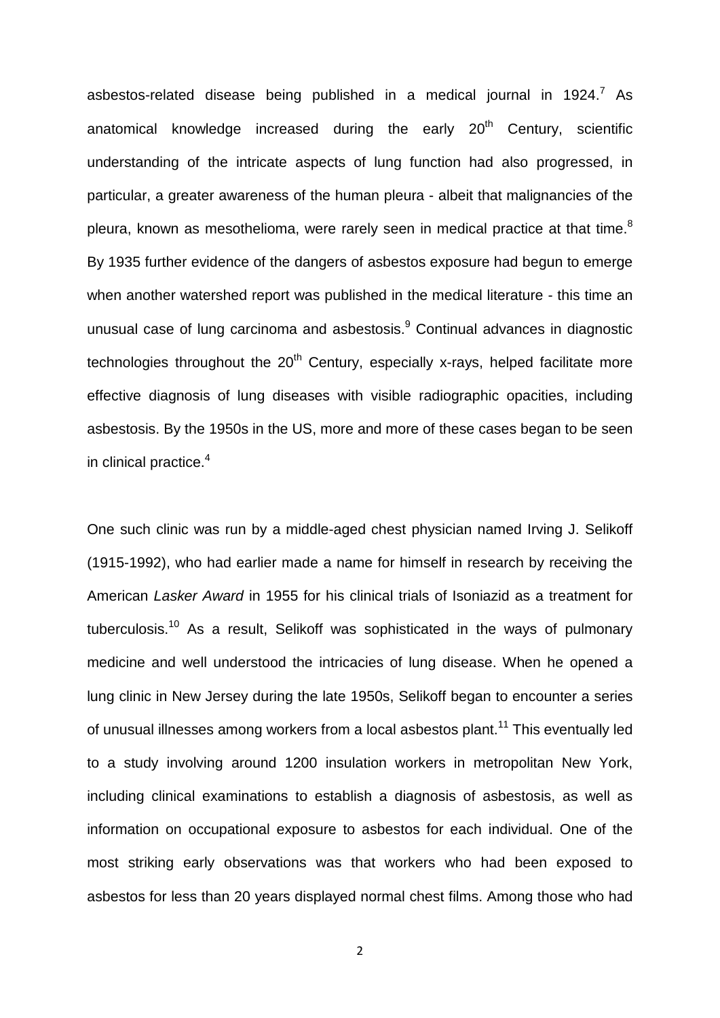asbestos-related disease being published in a medical journal in  $1924$ .<sup>7</sup> As anatomical knowledge increased during the early  $20<sup>th</sup>$  Century, scientific understanding of the intricate aspects of lung function had also progressed, in particular, a greater awareness of the human pleura - albeit that malignancies of the pleura, known as mesothelioma, were rarely seen in medical practice at that time. $^8$ By 1935 further evidence of the dangers of asbestos exposure had begun to emerge when another watershed report was published in the medical literature - this time an unusual case of lung carcinoma and asbestosis.<sup>9</sup> Continual advances in diagnostic technologies throughout the  $20<sup>th</sup>$  Century, especially x-rays, helped facilitate more effective diagnosis of lung diseases with visible radiographic opacities, including asbestosis. By the 1950s in the US, more and more of these cases began to be seen in clinical practice.<sup>4</sup>

One such clinic was run by a middle-aged chest physician named Irving J. Selikoff (1915-1992), who had earlier made a name for himself in research by receiving the American *Lasker Award* in 1955 for his clinical trials of Isoniazid as a treatment for tuberculosis.<sup>10</sup> As a result, Selikoff was sophisticated in the ways of pulmonary medicine and well understood the intricacies of lung disease. When he opened a lung clinic in New Jersey during the late 1950s, Selikoff began to encounter a series of unusual illnesses among workers from a local asbestos plant.<sup>11</sup> This eventually led to a study involving around 1200 insulation workers in metropolitan New York, including clinical examinations to establish a diagnosis of asbestosis, as well as information on occupational exposure to asbestos for each individual. One of the most striking early observations was that workers who had been exposed to asbestos for less than 20 years displayed normal chest films. Among those who had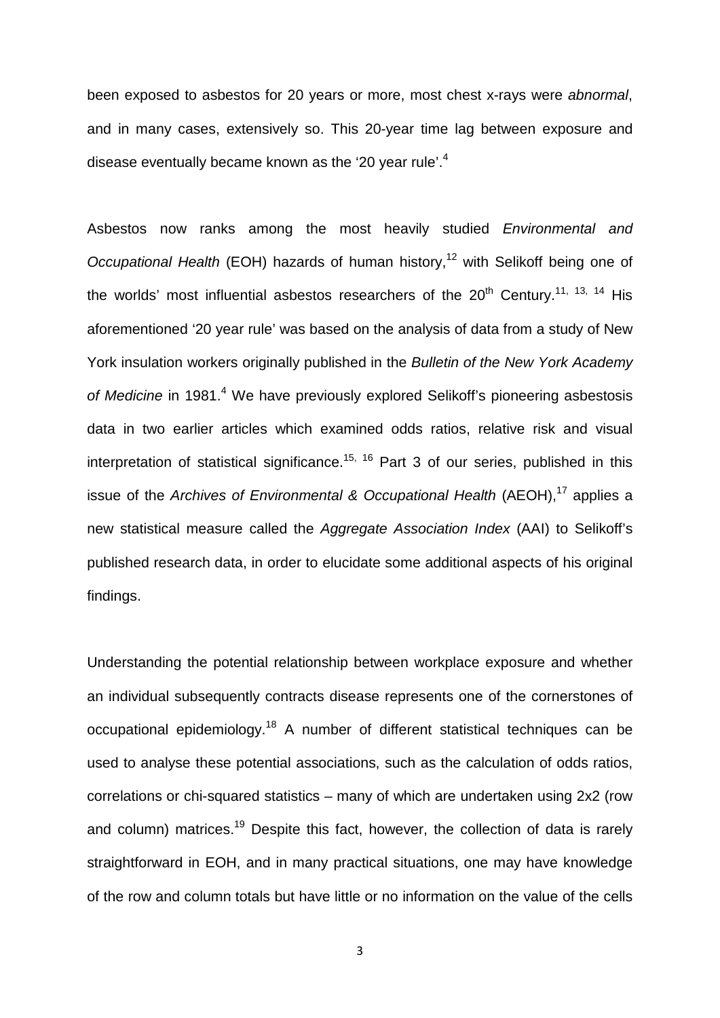been exposed to asbestos for 20 years or more, most chest x-rays were *abnormal*, and in many cases, extensively so. This 20-year time lag between exposure and disease eventually became known as the '20 year rule'.<sup>4</sup>

Asbestos now ranks among the most heavily studied *Environmental and Occupational Health* (EOH) hazards of human history,<sup>12</sup> with Selikoff being one of the worlds' most influential asbestos researchers of the  $20<sup>th</sup>$  Century.<sup>11, 13, 14</sup> His aforementioned '20 year rule' was based on the analysis of data from a study of New York insulation workers originally published in the *Bulletin of the New York Academy of Medicine* in 1981. <sup>4</sup> We have previously explored Selikoff's pioneering asbestosis data in two earlier articles which examined odds ratios, relative risk and visual interpretation of statistical significance.<sup>15, 16</sup> Part 3 of our series, published in this issue of the *Archives of Environmental & Occupational Health* (AEOH),<sup>17</sup> applies a new statistical measure called the *Aggregate Association Index* (AAI) to Selikoff's published research data, in order to elucidate some additional aspects of his original findings.

Understanding the potential relationship between workplace exposure and whether an individual subsequently contracts disease represents one of the cornerstones of occupational epidemiology.<sup>18</sup> A number of different statistical techniques can be used to analyse these potential associations, such as the calculation of odds ratios, correlations or chi-squared statistics – many of which are undertaken using 2x2 (row and column) matrices.<sup>19</sup> Despite this fact, however, the collection of data is rarely straightforward in EOH, and in many practical situations, one may have knowledge of the row and column totals but have little or no information on the value of the cells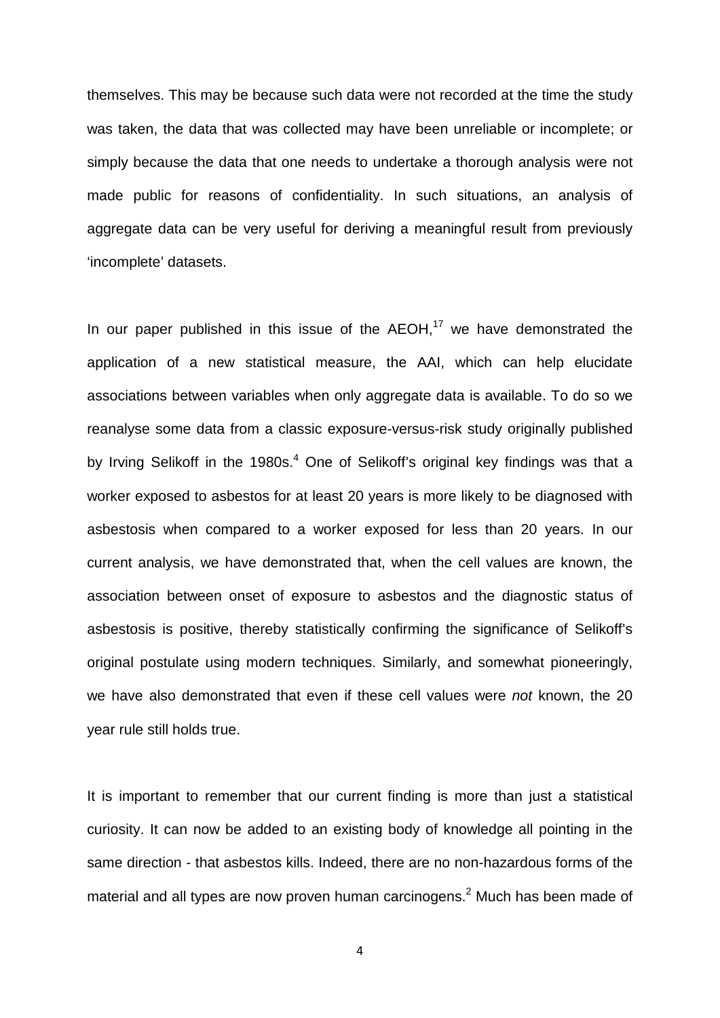themselves. This may be because such data were not recorded at the time the study was taken, the data that was collected may have been unreliable or incomplete; or simply because the data that one needs to undertake a thorough analysis were not made public for reasons of confidentiality. In such situations, an analysis of aggregate data can be very useful for deriving a meaningful result from previously 'incomplete' datasets.

In our paper published in this issue of the AEOH,<sup>17</sup> we have demonstrated the application of a new statistical measure, the AAI, which can help elucidate associations between variables when only aggregate data is available. To do so we reanalyse some data from a classic exposure-versus-risk study originally published by Irving Selikoff in the 1980s.<sup>4</sup> One of Selikoff's original key findings was that a worker exposed to asbestos for at least 20 years is more likely to be diagnosed with asbestosis when compared to a worker exposed for less than 20 years. In our current analysis, we have demonstrated that, when the cell values are known, the association between onset of exposure to asbestos and the diagnostic status of asbestosis is positive, thereby statistically confirming the significance of Selikoff's original postulate using modern techniques. Similarly, and somewhat pioneeringly, we have also demonstrated that even if these cell values were *not* known, the 20 year rule still holds true.

It is important to remember that our current finding is more than just a statistical curiosity. It can now be added to an existing body of knowledge all pointing in the same direction - that asbestos kills. Indeed, there are no non-hazardous forms of the material and all types are now proven human carcinogens.<sup>2</sup> Much has been made of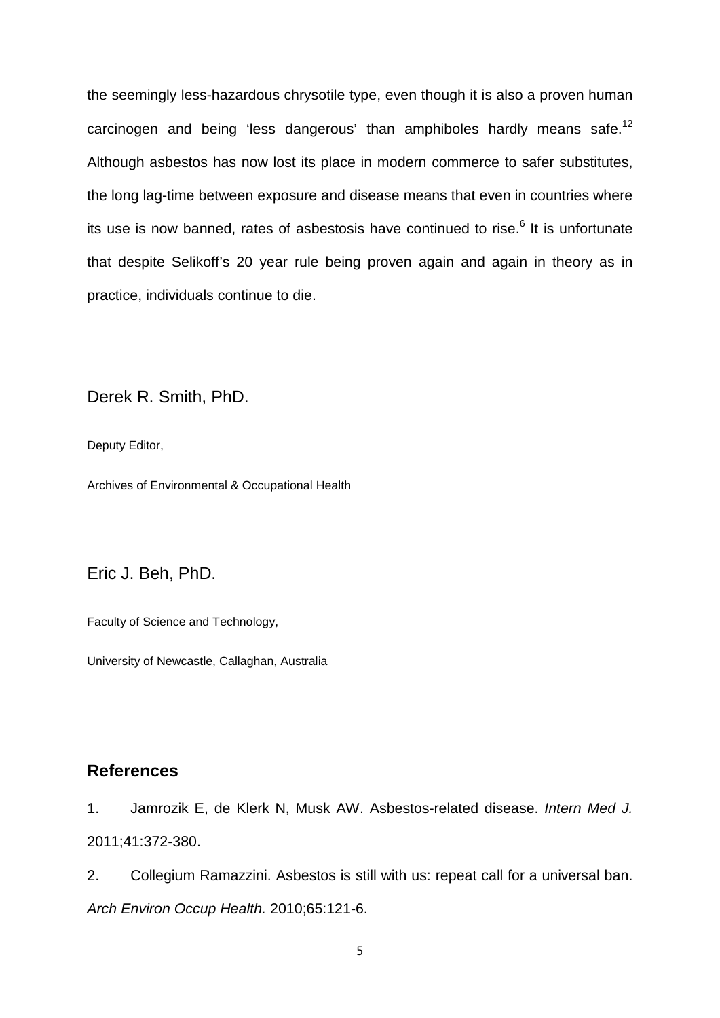the seemingly less-hazardous chrysotile type, even though it is also a proven human carcinogen and being 'less dangerous' than amphiboles hardly means safe.<sup>12</sup> Although asbestos has now lost its place in modern commerce to safer substitutes, the long lag-time between exposure and disease means that even in countries where its use is now banned, rates of asbestosis have continued to rise.<sup>6</sup> It is unfortunate that despite Selikoff's 20 year rule being proven again and again in theory as in practice, individuals continue to die.

Derek R. Smith, PhD.

Deputy Editor,

Archives of Environmental & Occupational Health

Eric J. Beh, PhD.

Faculty of Science and Technology,

University of Newcastle, Callaghan, Australia

## **References**

1. Jamrozik E, de Klerk N, Musk AW. Asbestos-related disease. *Intern Med J.* 2011;41:372-380.

2. Collegium Ramazzini. Asbestos is still with us: repeat call for a universal ban. *Arch Environ Occup Health.* 2010;65:121-6.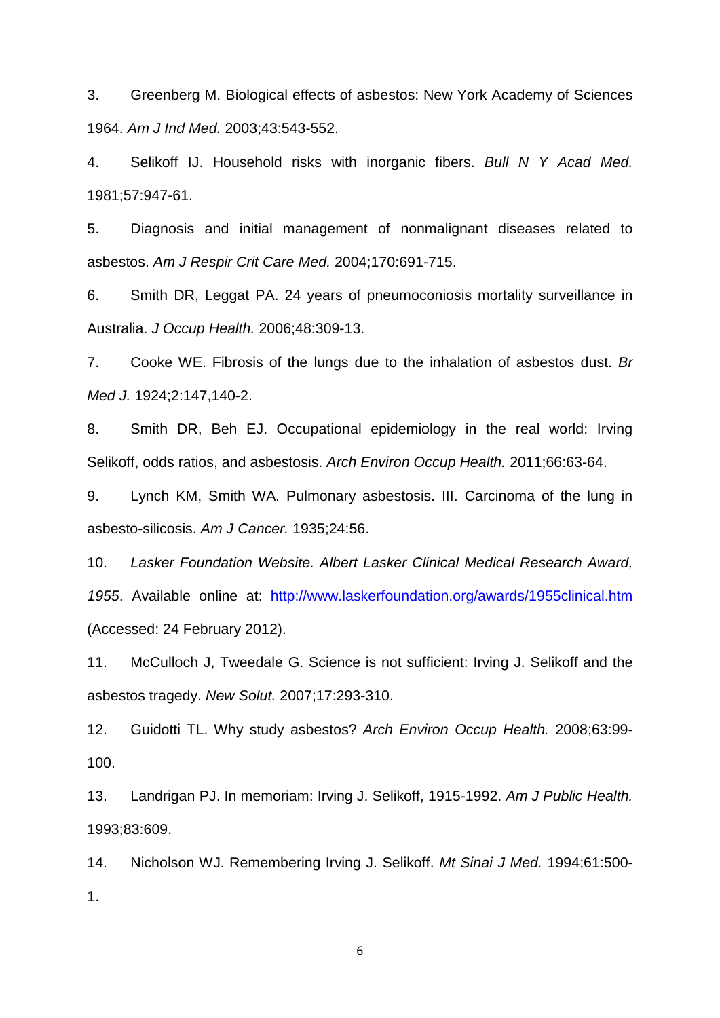3. Greenberg M. Biological effects of asbestos: New York Academy of Sciences 1964. *Am J Ind Med.* 2003;43:543-552.

4. Selikoff IJ. Household risks with inorganic fibers. *Bull N Y Acad Med.* 1981;57:947-61.

5. Diagnosis and initial management of nonmalignant diseases related to asbestos. *Am J Respir Crit Care Med.* 2004;170:691-715.

6. Smith DR, Leggat PA. 24 years of pneumoconiosis mortality surveillance in Australia. *J Occup Health.* 2006;48:309-13.

7. Cooke WE. Fibrosis of the lungs due to the inhalation of asbestos dust. *Br Med J.* 1924;2:147,140-2.

8. Smith DR, Beh EJ. Occupational epidemiology in the real world: Irving Selikoff, odds ratios, and asbestosis. *Arch Environ Occup Health.* 2011;66:63-64.

9. Lynch KM, Smith WA. Pulmonary asbestosis. III. Carcinoma of the lung in asbesto-silicosis. *Am J Cancer.* 1935;24:56.

10. *Lasker Foundation Website. Albert Lasker Clinical Medical Research Award, 1955*. Available online at: <http://www.laskerfoundation.org/awards/1955clinical.htm> (Accessed: 24 February 2012).

11. McCulloch J, Tweedale G. Science is not sufficient: Irving J. Selikoff and the asbestos tragedy. *New Solut.* 2007;17:293-310.

12. Guidotti TL. Why study asbestos? *Arch Environ Occup Health.* 2008;63:99- 100.

13. Landrigan PJ. In memoriam: Irving J. Selikoff, 1915-1992. *Am J Public Health.* 1993;83:609.

14. Nicholson WJ. Remembering Irving J. Selikoff. *Mt Sinai J Med.* 1994;61:500- 1.